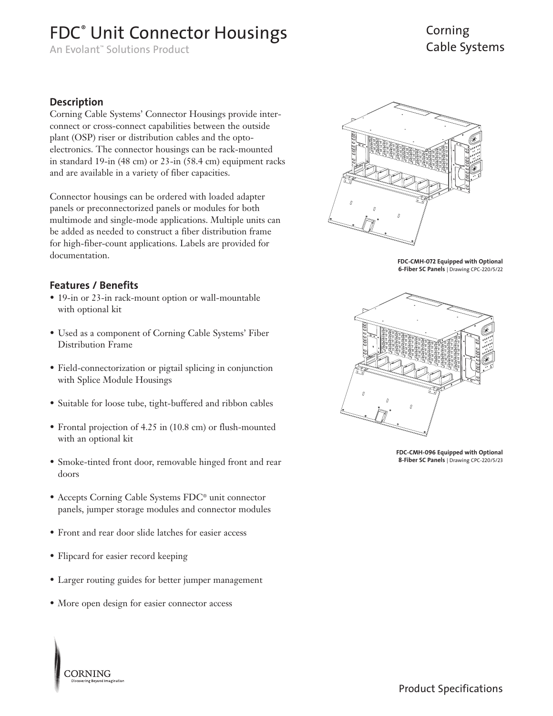# FDC<sup>®</sup> Unit Connector Housings

An Evolant™ Solutions Product

## Corning Cable Systems

#### **Description**

Corning Cable Systems' Connector Housings provide interconnect or cross-connect capabilities between the outside plant (OSP) riser or distribution cables and the optoelectronics. The connector housings can be rack-mounted in standard 19-in (48 cm) or 23-in (58.4 cm) equipment racks and are available in a variety of fiber capacities.

Connector housings can be ordered with loaded adapter panels or preconnectorized panels or modules for both multimode and single-mode applications. Multiple units can be added as needed to construct a fiber distribution frame for high-fiber-count applications. Labels are provided for documentation.

#### **Features / Benefits**

- 19-in or 23-in rack-mount option or wall-mountable with optional kit
- Used as a component of Corning Cable Systems' Fiber Distribution Frame
- Field-connectorization or pigtail splicing in conjunction with Splice Module Housings
- Suitable for loose tube, tight-buffered and ribbon cables
- Frontal projection of 4.25 in (10.8 cm) or flush-mounted with an optional kit
- Smoke-tinted front door, removable hinged front and rear doors
- Accepts Corning Cable Systems FDC® unit connector panels, jumper storage modules and connector modules
- Front and rear door slide latches for easier access
- Flipcard for easier record keeping

**CORNING** 

- Larger routing guides for better jumper management
- More open design for easier connector access



**FDC-CMH-072 Equipped with Optional 6-Fiber SC Panels** | Drawing CPC-220/5/22



**FDC-CMH-096 Equipped with Optional 8-Fiber SC Panels** | Drawing CPC-220/5/23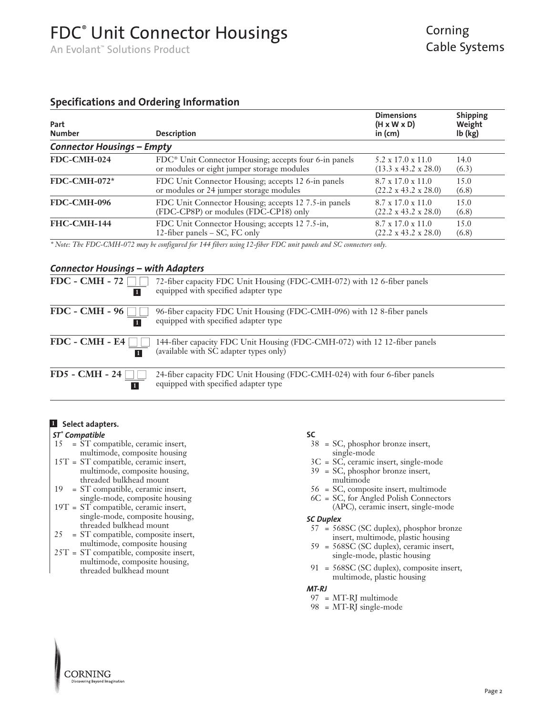# FDC® Unit Connector Housings

An Evolant™ Solutions Product

## Corning Cable Systems

#### **Specifications and Ordering Information**

| Part<br><b>Number</b>             | <b>Description</b>                                                | <b>Dimensions</b><br>$(H \times W \times D)$<br>in (cm) | <b>Shipping</b><br>Weight<br>$lb$ ( $kg$ ) |
|-----------------------------------|-------------------------------------------------------------------|---------------------------------------------------------|--------------------------------------------|
| <b>Connector Housings - Empty</b> |                                                                   |                                                         |                                            |
| FDC-CMH-024                       | FDC <sup>®</sup> Unit Connector Housing; accepts four 6-in panels | $5.2 \times 17.0 \times 11.0$                           | 14.0                                       |
|                                   | or modules or eight jumper storage modules                        | $(13.3 \times 43.2 \times 28.0)$                        | (6.3)                                      |
| $FDC-CMH-072*$                    | FDC Unit Connector Housing; accepts 12 6-in panels                | $8.7 \times 17.0 \times 11.0$                           | 15.0                                       |
|                                   | or modules or 24 jumper storage modules                           | $(22.2 \times 43.2 \times 28.0)$                        | (6.8)                                      |
| FDC-CMH-096                       | FDC Unit Connector Housing; accepts 12 7.5-in panels              | $8.7 \times 17.0 \times 11.0$                           | 15.0                                       |
|                                   | $(FDC-CP8P)$ or modules $(FD\tilde{C}-CP18)$ only                 | $(22.2 \times 43.2 \times 28.0)$                        | (6.8)                                      |
| FHC-CMH-144                       | FDC Unit Connector Housing; accepts 12 7.5-in,                    | $8.7 \times 17.0 \times 11.0$                           | 15.0                                       |
|                                   | 12-fiber panels $-$ SC, FC only                                   | $(22.2 \times 43.2 \times 28.0)$                        | (6.8)                                      |

*\* Note: The FDC-CMH-072 may be configured for 144 fibers using 12-fiber FDC unit panels and SC connectors only.* 

#### *Connector Housings – with Adapters*

| FDC - CMH - 72 $\Box$ | 72-fiber capacity FDC Unit Housing (FDC-CMH-072) with 12 6-fiber panels<br>equipped with specified adapter type                           |
|-----------------------|-------------------------------------------------------------------------------------------------------------------------------------------|
|                       | FDC - CMH - 96 $\Box$ 96-fiber capacity FDC Unit Housing (FDC-CMH-096) with 12 8-fiber panels<br>equipped with specified adapter type     |
|                       | FDC - CMH - E4 $\Box$ 144-fiber capacity FDC Unit Housing (FDC-CMH-072) with 12 12-fiber panels<br>(available with SC adapter types only) |
| $FD5 - CMH - 24 \Box$ | 24-fiber capacity FDC Unit Housing (FDC-CMH-024) with four 6-fiber panels<br>equipped with specified adapter type                         |

#### **Select adapters. 1**

#### *ST® Compatible*

- 15 = ST compatible, ceramic insert, multimode, composite housing
- 15T = ST compatible, ceramic insert, multimode, composite housing, threaded bulkhead mount
- 19 = ST compatible, ceramic insert, single-mode, composite housing
- $19T = ST$  compatible, ceramic insert, single-mode, composite housing, threaded bulkhead mount
- $25 = ST$  compatible, composite insert, multimode, composite housing
- 25T = ST compatible, composite insert, multimode, composite housing, threaded bulkhead mount

#### **SC**

- 38 = SC, phosphor bronze insert, single-mode
- 3C = SC, ceramic insert, single-mode
- 39 = SC, phosphor bronze insert,
	- multimode
- 56 = SC, composite insert, multimode
- 6C = SC, for Angled Polish Connectors
	- (APC), ceramic insert, single-mode

#### *SC Duplex*

- 57 = 568SC (SC duplex), phosphor bronze insert, multimode, plastic housing
- 59 = 568SC (SC duplex), ceramic insert, single-mode, plastic housing
- 91 = 568SC (SC duplex), composite insert, multimode, plastic housing

#### *MT-RJ*

- 97 = MT-RJ multimode
- 98 = MT-RJ single-mode

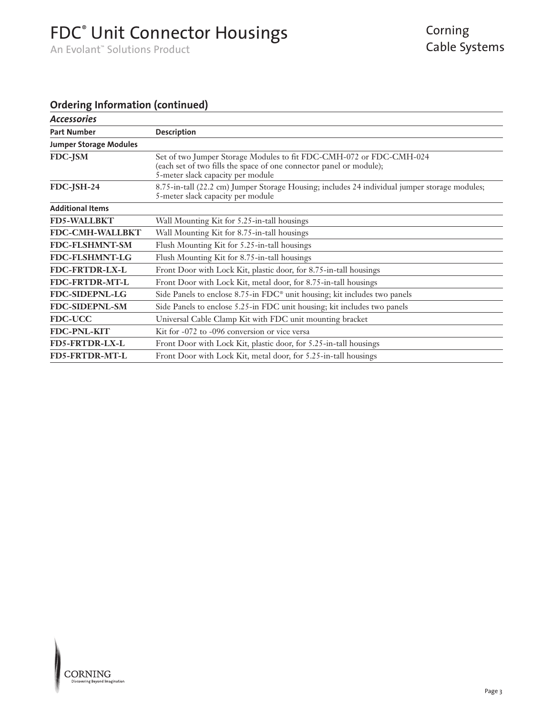# FDC<sup>®</sup> Unit Connector Housings

An Evolant™ Solutions Product

### **Ordering Information (continued)**

| <b>Accessories</b>            |                                                                                                                                                                                 |  |
|-------------------------------|---------------------------------------------------------------------------------------------------------------------------------------------------------------------------------|--|
| <b>Part Number</b>            | <b>Description</b>                                                                                                                                                              |  |
| <b>Jumper Storage Modules</b> |                                                                                                                                                                                 |  |
| FDC-JSM                       | Set of two Jumper Storage Modules to fit FDC-CMH-072 or FDC-CMH-024<br>(each set of two fills the space of one connector panel or module);<br>5-meter slack capacity per module |  |
| FDC-JSH-24                    | 8.75-in-tall (22.2 cm) Jumper Storage Housing; includes 24 individual jumper storage modules;<br>5-meter slack capacity per module                                              |  |
| <b>Additional Items</b>       |                                                                                                                                                                                 |  |
| <b>FD5-WALLBKT</b>            | Wall Mounting Kit for 5.25-in-tall housings                                                                                                                                     |  |
| <b>FDC-CMH-WALLBKT</b>        | Wall Mounting Kit for 8.75-in-tall housings                                                                                                                                     |  |
| <b>FDC-FLSHMNT-SM</b>         | Flush Mounting Kit for 5.25-in-tall housings                                                                                                                                    |  |
| <b>FDC-FLSHMNT-LG</b>         | Flush Mounting Kit for 8.75-in-tall housings                                                                                                                                    |  |
| <b>FDC-FRTDR-LX-L</b>         | Front Door with Lock Kit, plastic door, for 8.75-in-tall housings                                                                                                               |  |
| FDC-FRTDR-MT-L                | Front Door with Lock Kit, metal door, for 8.75-in-tall housings                                                                                                                 |  |
| <b>FDC-SIDEPNL-LG</b>         | Side Panels to enclose $8.75$ -in $FDC^{\circ}$ unit housing; kit includes two panels                                                                                           |  |
| <b>FDC-SIDEPNL-SM</b>         | Side Panels to enclose 5.25-in FDC unit housing; kit includes two panels                                                                                                        |  |
| <b>FDC-UCC</b>                | Universal Cable Clamp Kit with FDC unit mounting bracket                                                                                                                        |  |
| FDC-PNL-KIT                   | Kit for -072 to -096 conversion or vice versa                                                                                                                                   |  |
| <b>FD5-FRTDR-LX-L</b>         | Front Door with Lock Kit, plastic door, for 5.25-in-tall housings                                                                                                               |  |
| <b>FD5-FRTDR-MT-L</b>         | Front Door with Lock Kit, metal door, for 5.25-in-tall housings                                                                                                                 |  |